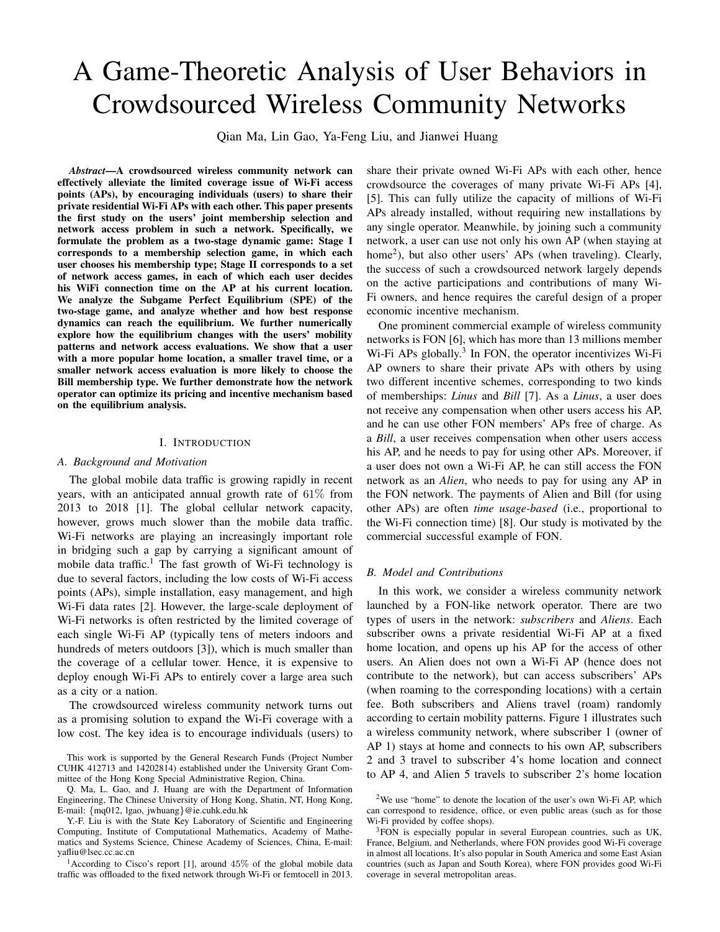# A Game-Theoretic Analysis of User Behaviors in Crowdsourced Wireless Community Networks

Qian Ma, Lin Gao, Ya-Feng Liu, and Jianwei Huang

*Abstract*—A crowdsourced wireless community network can effectively alleviate the limited coverage issue of Wi-Fi access points (APs), by encouraging individuals (users) to share their private residential Wi-Fi APs with each other. This paper presents the first study on the users' joint membership selection and network access problem in such a network. Specifically, we formulate the problem as a two-stage dynamic game: Stage I corresponds to a membership selection game, in which each user chooses his membership type; Stage II corresponds to a set of network access games, in each of which each user decides his WiFi connection time on the AP at his current location. We analyze the Subgame Perfect Equilibrium (SPE) of the two-stage game, and analyze whether and how best response dynamics can reach the equilibrium. We further numerically explore how the equilibrium changes with the users' mobility patterns and network access evaluations. We show that a user with a more popular home location, a smaller travel time, or a smaller network access evaluation is more likely to choose the Bill membership type. We further demonstrate how the network operator can optimize its pricing and incentive mechanism based on the equilibrium analysis.

#### I. INTRODUCTION

#### *A. Background and Motivation*

The global mobile data traffic is growing rapidly in recent years, with an anticipated annual growth rate of 61% from 2013 to 2018 [1]. The global cellular network capacity, however, grows much slower than the mobile data traffic. Wi-Fi networks are playing an increasingly important role in bridging such a gap by carrying a significant amount of mobile data traffic.<sup>1</sup> The fast growth of Wi-Fi technology is due to several factors, including the low costs of Wi-Fi access points (APs), simple installation, easy management, and high Wi-Fi data rates [2]. However, the large-scale deployment of Wi-Fi networks is often restricted by the limited coverage of each single Wi-Fi AP (typically tens of meters indoors and hundreds of meters outdoors [3]), which is much smaller than the coverage of a cellular tower. Hence, it is expensive to deploy enough Wi-Fi APs to entirely cover a large area such as a city or a nation.

The crowdsourced wireless community network turns out as a promising solution to expand the Wi-Fi coverage with a low cost. The key idea is to encourage individuals (users) to

<sup>1</sup> According to Cisco's report [1], around  $45\%$  of the global mobile data traffic was offloaded to the fixed network through Wi-Fi or femtocell in 2013. share their private owned Wi-Fi APs with each other, hence crowdsource the coverages of many private Wi-Fi APs [4], [5]. This can fully utilize the capacity of millions of Wi-Fi APs already installed, without requiring new installations by any single operator. Meanwhile, by joining such a community network, a user can use not only his own AP (when staying at home<sup>2</sup>), but also other users' APs (when traveling). Clearly, the success of such a crowdsourced network largely depends on the active participations and contributions of many Wi-Fi owners, and hence requires the careful design of a proper economic incentive mechanism.

One prominent commercial example of wireless community networks is FON [6], which has more than 13 millions member Wi-Fi APs globally.<sup>3</sup> In FON, the operator incentivizes Wi-Fi AP owners to share their private APs with others by using two different incentive schemes, corresponding to two kinds of memberships: *Linus* and *Bill* [7]. As a *Linus*, a user does not receive any compensation when other users access his AP, and he can use other FON members' APs free of charge. As a *Bill*, a user receives compensation when other users access his AP, and he needs to pay for using other APs. Moreover, if a user does not own a Wi-Fi AP, he can still access the FON network as an *Alien*, who needs to pay for using any AP in the FON network. The payments of Alien and Bill (for using other APs) are often *time usage-based* (i.e., proportional to the Wi-Fi connection time) [8]. Our study is motivated by the commercial successful example of FON.

## *B. Model and Contributions*

In this work, we consider a wireless community network launched by a FON-like network operator. There are two types of users in the network: *subscribers* and *Aliens*. Each subscriber owns a private residential Wi-Fi AP at a fixed home location, and opens up his AP for the access of other users. An Alien does not own a Wi-Fi AP (hence does not contribute to the network), but can access subscribers' APs (when roaming to the corresponding locations) with a certain fee. Both subscribers and Aliens travel (roam) randomly according to certain mobility patterns. Figure 1 illustrates such a wireless community network, where subscriber 1 (owner of AP 1) stays at home and connects to his own AP, subscribers 2 and 3 travel to subscriber 4's home location and connect to AP 4, and Alien 5 travels to subscriber 2's home location

This work is supported by the General Research Funds (Project Number CUHK 412713 and 14202814) established under the University Grant Committee of the Hong Kong Special Administrative Region, China.

Q. Ma, L. Gao, and J. Huang are with the Department of Information Engineering, The Chinese University of Hong Kong, Shatin, NT, Hong Kong, E-mail: {mq012, lgao, jwhuang}@ie.cuhk.edu.hk

Y.-F. Liu is with the State Key Laboratory of Scientific and Engineering Computing, Institute of Computational Mathematics, Academy of Mathematics and Systems Science, Chinese Academy of Sciences, China, E-mail: yafliu@lsec.cc.ac.cn

<sup>2</sup>We use "home" to denote the location of the user's own Wi-Fi AP, which can correspond to residence, office, or even public areas (such as for those Wi-Fi provided by coffee shops).

<sup>3</sup>FON is especially popular in several European countries, such as UK, France, Belgium, and Netherlands, where FON provides good Wi-Fi coverage in almost all locations. It's also popular in South America and some East Asian countries (such as Japan and South Korea), where FON provides good Wi-Fi coverage in several metropolitan areas.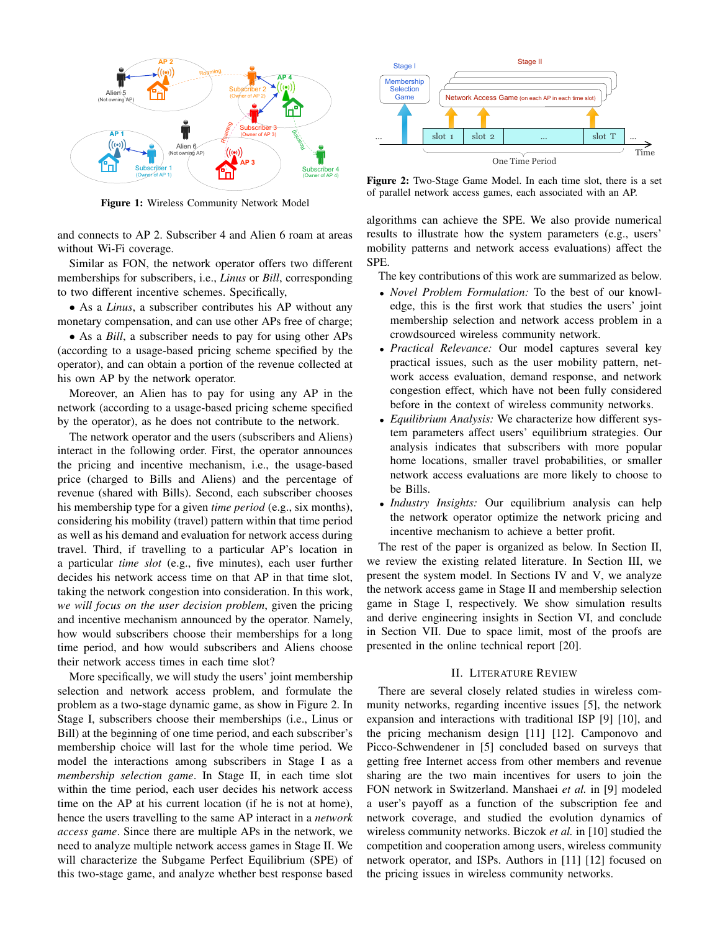

Figure 1: Wireless Community Network Model

and connects to AP 2. Subscriber 4 and Alien 6 roam at areas without Wi-Fi coverage.

Similar as FON, the network operator offers two different memberships for subscribers, i.e., *Linus* or *Bill*, corresponding to two different incentive schemes. Specifically,

• As a *Linus*, a subscriber contributes his AP without any monetary compensation, and can use other APs free of charge;

• As a *Bill*, a subscriber needs to pay for using other APs (according to a usage-based pricing scheme specified by the operator), and can obtain a portion of the revenue collected at his own AP by the network operator.

Moreover, an Alien has to pay for using any AP in the network (according to a usage-based pricing scheme specified by the operator), as he does not contribute to the network.

The network operator and the users (subscribers and Aliens) interact in the following order. First, the operator announces the pricing and incentive mechanism, i.e., the usage-based price (charged to Bills and Aliens) and the percentage of revenue (shared with Bills). Second, each subscriber chooses his membership type for a given *time period* (e.g., six months), considering his mobility (travel) pattern within that time period as well as his demand and evaluation for network access during travel. Third, if travelling to a particular AP's location in a particular *time slot* (e.g., five minutes), each user further decides his network access time on that AP in that time slot, taking the network congestion into consideration. In this work, *we will focus on the user decision problem*, given the pricing and incentive mechanism announced by the operator. Namely, how would subscribers choose their memberships for a long time period, and how would subscribers and Aliens choose their network access times in each time slot?

More specifically, we will study the users' joint membership selection and network access problem, and formulate the problem as a two-stage dynamic game, as show in Figure 2. In Stage I, subscribers choose their memberships (i.e., Linus or Bill) at the beginning of one time period, and each subscriber's membership choice will last for the whole time period. We model the interactions among subscribers in Stage I as a *membership selection game*. In Stage II, in each time slot within the time period, each user decides his network access time on the AP at his current location (if he is not at home), hence the users travelling to the same AP interact in a *network access game*. Since there are multiple APs in the network, we need to analyze multiple network access games in Stage II. We will characterize the Subgame Perfect Equilibrium (SPE) of this two-stage game, and analyze whether best response based



Figure 2: Two-Stage Game Model. In each time slot, there is a set of parallel network access games, each associated with an AP.

algorithms can achieve the SPE. We also provide numerical results to illustrate how the system parameters (e.g., users' mobility patterns and network access evaluations) affect the SPE.

The key contributions of this work are summarized as below.

- *Novel Problem Formulation:* To the best of our knowledge, this is the first work that studies the users' joint membership selection and network access problem in a crowdsourced wireless community network.
- *Practical Relevance:* Our model captures several key practical issues, such as the user mobility pattern, network access evaluation, demand response, and network congestion effect, which have not been fully considered before in the context of wireless community networks.
- *Equilibrium Analysis:* We characterize how different system parameters affect users' equilibrium strategies. Our analysis indicates that subscribers with more popular home locations, smaller travel probabilities, or smaller network access evaluations are more likely to choose to be Bills.
- *Industry Insights:* Our equilibrium analysis can help the network operator optimize the network pricing and incentive mechanism to achieve a better profit.

The rest of the paper is organized as below. In Section II, we review the existing related literature. In Section III, we present the system model. In Sections IV and V, we analyze the network access game in Stage II and membership selection game in Stage I, respectively. We show simulation results and derive engineering insights in Section VI, and conclude in Section VII. Due to space limit, most of the proofs are presented in the online technical report [20].

## II. LITERATURE REVIEW

There are several closely related studies in wireless community networks, regarding incentive issues [5], the network expansion and interactions with traditional ISP [9] [10], and the pricing mechanism design [11] [12]. Camponovo and Picco-Schwendener in [5] concluded based on surveys that getting free Internet access from other members and revenue sharing are the two main incentives for users to join the FON network in Switzerland. Manshaei *et al.* in [9] modeled a user's payoff as a function of the subscription fee and network coverage, and studied the evolution dynamics of wireless community networks. Biczok *et al.* in [10] studied the competition and cooperation among users, wireless community network operator, and ISPs. Authors in [11] [12] focused on the pricing issues in wireless community networks.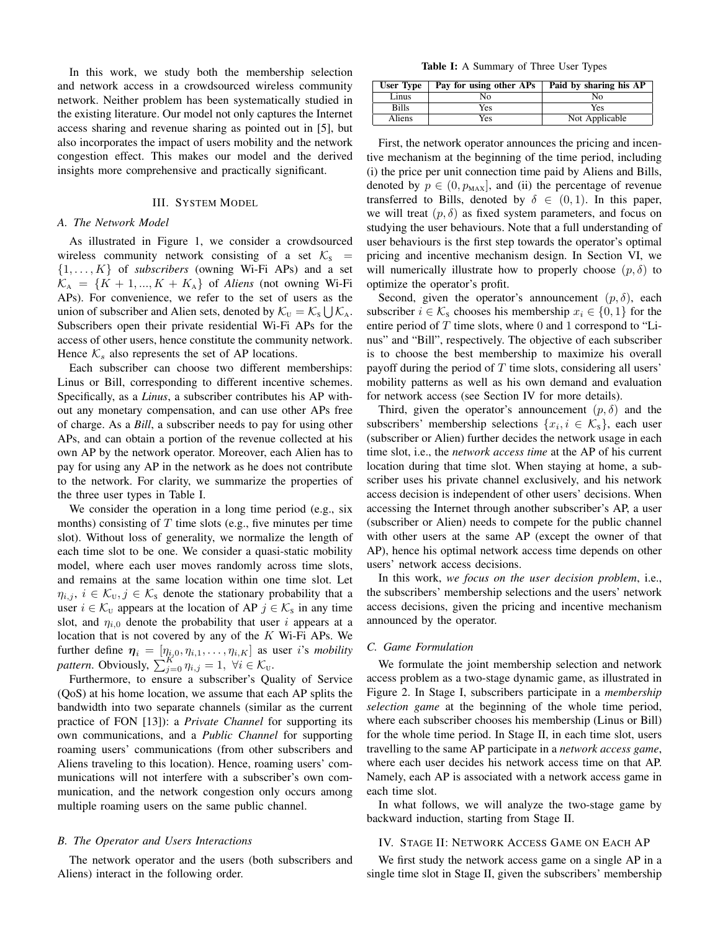In this work, we study both the membership selection and network access in a crowdsourced wireless community network. Neither problem has been systematically studied in the existing literature. Our model not only captures the Internet access sharing and revenue sharing as pointed out in [5], but also incorporates the impact of users mobility and the network congestion effect. This makes our model and the derived insights more comprehensive and practically significant.

## III. SYSTEM MODEL

#### *A. The Network Model*

As illustrated in Figure 1, we consider a crowdsourced wireless community network consisting of a set  $K<sub>s</sub>$  =  $\{1, \ldots, K\}$  of *subscribers* (owning Wi-Fi APs) and a set  $\mathcal{K}_A = \{K+1, ..., K+K_A\}$  of *Aliens* (not owning Wi-Fi APs). For convenience, we refer to the set of users as the union of subscriber and Alien sets, denoted by  $\mathcal{K}_{U} = \mathcal{K}_{S} \bigcup \mathcal{K}_{A}$ . Subscribers open their private residential Wi-Fi APs for the access of other users, hence constitute the community network. Hence  $K_s$  also represents the set of AP locations.

Each subscriber can choose two different memberships: Linus or Bill, corresponding to different incentive schemes. Specifically, as a *Linus*, a subscriber contributes his AP without any monetary compensation, and can use other APs free of charge. As a *Bill*, a subscriber needs to pay for using other APs, and can obtain a portion of the revenue collected at his own AP by the network operator. Moreover, each Alien has to pay for using any AP in the network as he does not contribute to the network. For clarity, we summarize the properties of the three user types in Table I.

We consider the operation in a long time period (e.g., six months) consisting of  $T$  time slots (e.g., five minutes per time slot). Without loss of generality, we normalize the length of each time slot to be one. We consider a quasi-static mobility model, where each user moves randomly across time slots, and remains at the same location within one time slot. Let  $\eta_{i,j}, i \in \mathcal{K}_{U}, j \in \mathcal{K}_{S}$  denote the stationary probability that a user  $i \in \mathcal{K}_{U}$  appears at the location of AP  $j \in \mathcal{K}_{S}$  in any time slot, and  $\eta_{i,0}$  denote the probability that user i appears at a location that is not covered by any of the  $K$  Wi-Fi APs. We further define  $\boldsymbol{\eta}_i = [\eta_{i,0}, \eta_{i,1}, \dots, \eta_{i,K}]$  as user *i*'s *mobility pattern.* Obviously,  $\sum_{j=0}^{K} \eta_{i,j} = 1$ ,  $\forall i \in \mathcal{K}_{U}$ .

Furthermore, to ensure a subscriber's Quality of Service (QoS) at his home location, we assume that each AP splits the bandwidth into two separate channels (similar as the current practice of FON [13]): a *Private Channel* for supporting its own communications, and a *Public Channel* for supporting roaming users' communications (from other subscribers and Aliens traveling to this location). Hence, roaming users' communications will not interfere with a subscriber's own communication, and the network congestion only occurs among multiple roaming users on the same public channel.

## *B. The Operator and Users Interactions*

The network operator and the users (both subscribers and Aliens) interact in the following order.

Table I: A Summary of Three User Types

| User Type    | Pay for using other APs | Paid by sharing his AP |
|--------------|-------------------------|------------------------|
| Linus        | Nο                      | Nο                     |
| <b>Bills</b> | Yes                     | Yes                    |
| Aliens       | Yes                     | Not Applicable         |

First, the network operator announces the pricing and incentive mechanism at the beginning of the time period, including (i) the price per unit connection time paid by Aliens and Bills, denoted by  $p \in (0, p_{\text{MAX}}]$ , and (ii) the percentage of revenue transferred to Bills, denoted by  $\delta \in (0,1)$ . In this paper, we will treat  $(p, \delta)$  as fixed system parameters, and focus on studying the user behaviours. Note that a full understanding of user behaviours is the first step towards the operator's optimal pricing and incentive mechanism design. In Section VI, we will numerically illustrate how to properly choose  $(p, \delta)$  to optimize the operator's profit.

Second, given the operator's announcement  $(p, \delta)$ , each subscriber  $i \in \mathcal{K}_s$  chooses his membership  $x_i \in \{0, 1\}$  for the entire period of  $T$  time slots, where 0 and 1 correspond to "Linus" and "Bill", respectively. The objective of each subscriber is to choose the best membership to maximize his overall payoff during the period of  $T$  time slots, considering all users' mobility patterns as well as his own demand and evaluation for network access (see Section IV for more details).

Third, given the operator's announcement  $(p, \delta)$  and the subscribers' membership selections  $\{x_i, i \in \mathcal{K}_s\}$ , each user (subscriber or Alien) further decides the network usage in each time slot, i.e., the *network access time* at the AP of his current location during that time slot. When staying at home, a subscriber uses his private channel exclusively, and his network access decision is independent of other users' decisions. When accessing the Internet through another subscriber's AP, a user (subscriber or Alien) needs to compete for the public channel with other users at the same AP (except the owner of that AP), hence his optimal network access time depends on other users' network access decisions.

In this work, *we focus on the user decision problem*, i.e., the subscribers' membership selections and the users' network access decisions, given the pricing and incentive mechanism announced by the operator.

## *C. Game Formulation*

We formulate the joint membership selection and network access problem as a two-stage dynamic game, as illustrated in Figure 2. In Stage I, subscribers participate in a *membership selection game* at the beginning of the whole time period, where each subscriber chooses his membership (Linus or Bill) for the whole time period. In Stage II, in each time slot, users travelling to the same AP participate in a *network access game*, where each user decides his network access time on that AP. Namely, each AP is associated with a network access game in each time slot.

In what follows, we will analyze the two-stage game by backward induction, starting from Stage II.

## IV. STAGE II: NETWORK ACCESS GAME ON EACH AP

We first study the network access game on a single AP in a single time slot in Stage II, given the subscribers' membership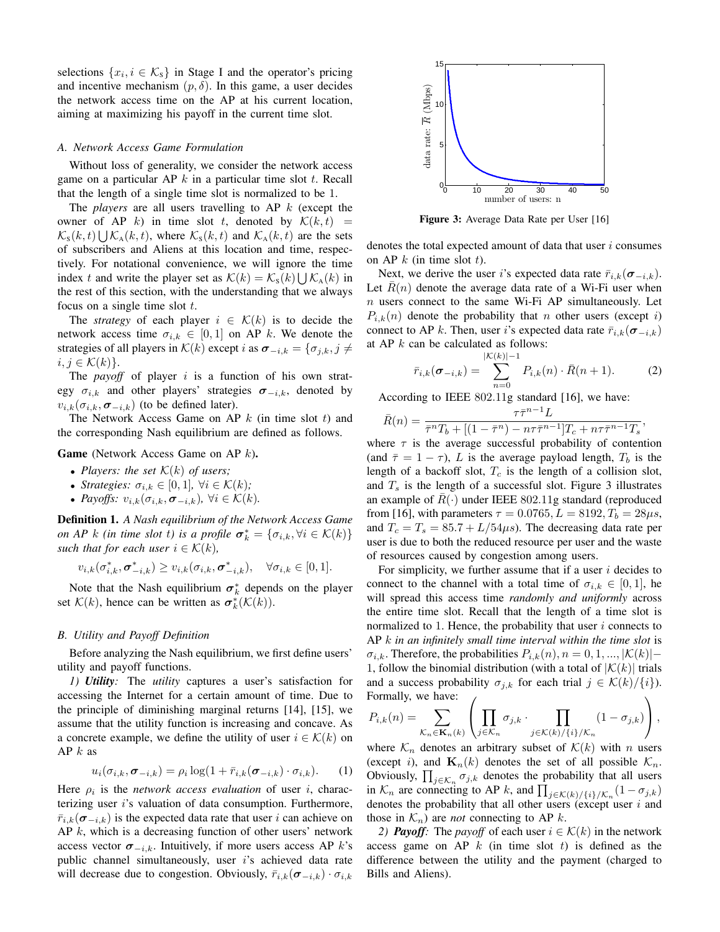selections  $\{x_i, i \in \mathcal{K}_s\}$  in Stage I and the operator's pricing and incentive mechanism  $(p, \delta)$ . In this game, a user decides the network access time on the AP at his current location, aiming at maximizing his payoff in the current time slot.

## *A. Network Access Game Formulation*

Without loss of generality, we consider the network access game on a particular AP  $k$  in a particular time slot  $t$ . Recall that the length of a single time slot is normalized to be 1.

The *players* are all users travelling to AP k (except the owner of AP k) in time slot t, denoted by  $\mathcal{K}(k,t)$  =  $\mathcal{K}_s(k,t) \bigcup \mathcal{K}_A(k,t)$ , where  $\mathcal{K}_s(k,t)$  and  $\mathcal{K}_A(k,t)$  are the sets of subscribers and Aliens at this location and time, respectively. For notational convenience, we will ignore the time index t and write the player set as  $\mathcal{K}(k) = \mathcal{K}_{\rm s}(k) \bigcup \mathcal{K}_{\rm A}(k)$  in the rest of this section, with the understanding that we always focus on a single time slot  $t$ .

The *strategy* of each player  $i \in \mathcal{K}(k)$  is to decide the network access time  $\sigma_{i,k} \in [0,1]$  on AP k. We denote the strategies of all players in  $\mathcal{K}(k)$  except i as  $\sigma_{-i,k} = {\sigma_{j,k}, j \neq j}$  $i, j \in \mathcal{K}(k)$ .

The *payoff* of player  $i$  is a function of his own strategy  $\sigma_{i,k}$  and other players' strategies  $\sigma_{-i,k}$ , denoted by  $v_{i,k}(\sigma_{i,k}, \sigma_{-i,k})$  (to be defined later).

The Network Access Game on AP  $k$  (in time slot  $t$ ) and the corresponding Nash equilibrium are defined as follows.

Game (Network Access Game on AP k).

- *Players: the set*  $K(k)$  *of users;*
- *Strategies:*  $\sigma_{i,k} \in [0,1]$ ,  $\forall i \in \mathcal{K}(k)$ ;
- *Payoffs:*  $v_{i,k}(\sigma_{i,k}, \sigma_{-i,k})$ ,  $\forall i \in \mathcal{K}(k)$ .

Definition 1. *A Nash equilibrium of the Network Access Game on AP*  $k$  *(in time slot t) is a profile*  $\sigma_k^* = {\sigma_{i,k}, \forall i \in \mathcal{K}(k)}$ *such that for each user*  $i \in \mathcal{K}(k)$ *,* 

$$
v_{i,k}(\sigma_{i,k}^*, \sigma_{-i,k}^*) \ge v_{i,k}(\sigma_{i,k}, \sigma_{-i,k}^*), \quad \forall \sigma_{i,k} \in [0,1].
$$

Note that the Nash equilibrium  $\sigma_k^*$  depends on the player set  $\mathcal{K}(k)$ , hence can be written as  $\sigma_k^*(\mathcal{K}(k))$ .

#### *B. Utility and Payoff Definition*

Before analyzing the Nash equilibrium, we first define users' utility and payoff functions.

*1) Utility:* The *utility* captures a user's satisfaction for accessing the Internet for a certain amount of time. Due to the principle of diminishing marginal returns [14], [15], we assume that the utility function is increasing and concave. As a concrete example, we define the utility of user  $i \in \mathcal{K}(k)$  on AP $k$  as

$$
u_i(\sigma_{i,k}, \sigma_{-i,k}) = \rho_i \log(1 + \bar{r}_{i,k}(\sigma_{-i,k}) \cdot \sigma_{i,k}). \tag{1}
$$

Here  $\rho_i$  is the *network access evaluation* of user i, characterizing user  $i$ 's valuation of data consumption. Furthermore,  $\bar{r}_{i,k}(\sigma_{-i,k})$  is the expected data rate that user i can achieve on  $AP\ k$ , which is a decreasing function of other users' network access vector  $\sigma_{-i,k}$ . Intuitively, if more users access AP k's public channel simultaneously, user  $i$ 's achieved data rate will decrease due to congestion. Obviously,  $\bar{r}_{i,k}(\sigma_{-i,k}) \cdot \sigma_{i,k}$ 



Figure 3: Average Data Rate per User [16]

denotes the total expected amount of data that user  $i$  consumes on AP  $k$  (in time slot  $t$ ).

Next, we derive the user i's expected data rate  $\bar{r}_{i,k}(\sigma_{-i,k})$ . Let  $R(n)$  denote the average data rate of a Wi-Fi user when  $n$  users connect to the same Wi-Fi AP simultaneously. Let  $P_{i,k}(n)$  denote the probability that n other users (except i) connect to AP k. Then, user i's expected data rate  $\bar{r}_{i,k}(\sigma_{-i,k})$ at AP  $k$  can be calculated as follows:

$$
\bar{r}_{i,k}(\sigma_{-i,k}) = \sum_{n=0}^{|\mathcal{K}(k)|-1} P_{i,k}(n) \cdot \bar{R}(n+1).
$$
 (2)

According to IEEE 802.11g standard [16], we have:

$$
\bar{R}(n) = \frac{\tau \bar{\tau}^{n-1} L}{\bar{\tau}^n T_b + [(1 - \bar{\tau}^n) - n \tau \bar{\tau}^{n-1}]T_c + n \tau \bar{\tau}^{n-1} T_s},
$$

where  $\tau$  is the average successful probability of contention (and  $\bar{\tau} = 1 - \tau$ ), L is the average payload length,  $T_b$  is the length of a backoff slot,  $T_c$  is the length of a collision slot, and  $T<sub>s</sub>$  is the length of a successful slot. Figure 3 illustrates an example of  $R(\cdot)$  under IEEE 802.11g standard (reproduced from [16], with parameters  $\tau = 0.0765, L = 8192, T_b = 28 \mu s$ , and  $T_c = T_s = 85.7 + L/54\mu s$ . The decreasing data rate per user is due to both the reduced resource per user and the waste of resources caused by congestion among users.

For simplicity, we further assume that if a user  $i$  decides to connect to the channel with a total time of  $\sigma_{i,k} \in [0,1]$ , he will spread this access time *randomly and uniformly* across the entire time slot. Recall that the length of a time slot is normalized to 1. Hence, the probability that user  $i$  connects to AP k *in an infinitely small time interval within the time slot* is  $\sigma_{i,k}$ . Therefore, the probabilities  $P_{i,k}(n)$ ,  $n = 0, 1, ..., |\mathcal{K}(k)|-$ 1, follow the binomial distribution (with a total of  $|K(k)|$  trials and a success probability  $\sigma_{i,k}$  for each trial  $j \in \mathcal{K}(k)/\{i\}$ ). Formally, we have:  $\sqrt{ }$  $\setminus$ 

$$
P_{i,k}(n) = \sum_{\mathcal{K}_n \in \mathbf{K}_n(k)} \left( \prod_{j \in \mathcal{K}_n} \sigma_{j,k} \cdot \prod_{j \in \mathcal{K}(k)/\{i\}/\mathcal{K}_n} (1 - \sigma_{j,k}) \right),
$$

where  $\mathcal{K}_n$  denotes an arbitrary subset of  $\mathcal{K}(k)$  with n users (except i), and  $\mathbf{K}_n(k)$  denotes the set of all possible  $\mathcal{K}_n$ . Obviously,  $\prod_{j \in \mathcal{K}_n} \sigma_{j,k}$  denotes the probability that all users in  $\mathcal{K}_n$  are connecting to AP k, and  $\prod_{j \in \mathcal{K}(k)/\{i\}} \chi_n(1 - \sigma_{j,k})$ denotes the probability that all other users (except user  $i$  and those in  $\mathcal{K}_n$ ) are *not* connecting to AP k.

*2) Payoff*: The *payoff* of each user  $i \in \mathcal{K}(k)$  in the network access game on AP  $k$  (in time slot  $t$ ) is defined as the difference between the utility and the payment (charged to Bills and Aliens).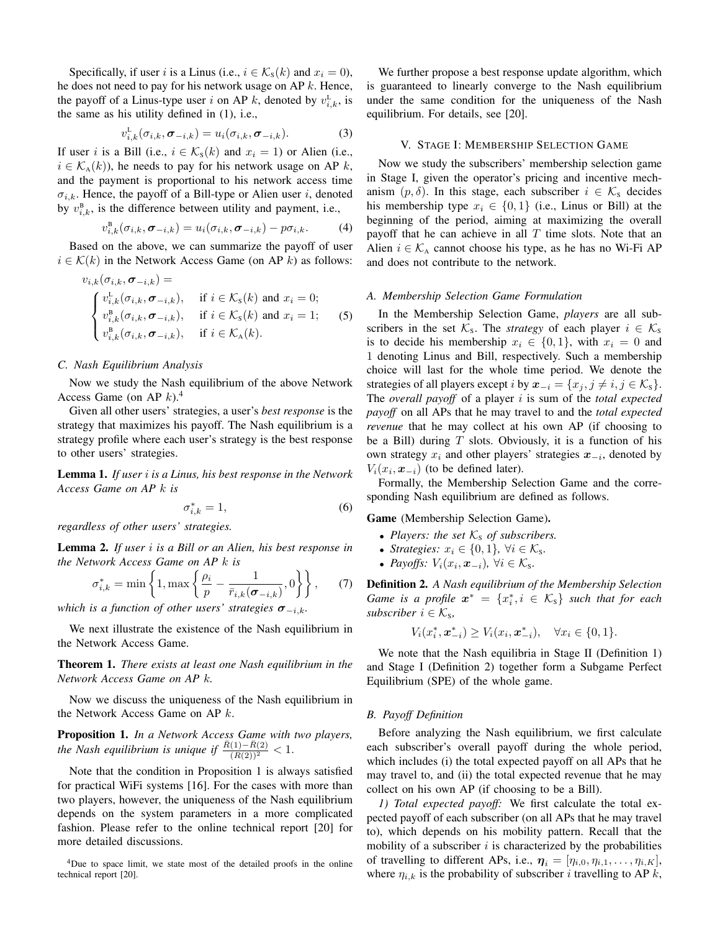Specifically, if user i is a Linus (i.e.,  $i \in \mathcal{K}_{S}(k)$  and  $x_i = 0$ ), he does not need to pay for his network usage on  $AP k$ . Hence, the payoff of a Linus-type user i on AP k, denoted by  $v_{i,k}^L$ , is the same as his utility defined in (1), i.e.,

$$
v_{i,k}^{\mathcal{L}}(\sigma_{i,k},\sigma_{-i,k})=u_{i}(\sigma_{i,k},\sigma_{-i,k}).\tag{3}
$$

If user i is a Bill (i.e.,  $i \in \mathcal{K}_{s}(k)$  and  $x_i = 1$ ) or Alien (i.e.,  $i \in \mathcal{K}_{A}(k)$ , he needs to pay for his network usage on AP k, and the payment is proportional to his network access time  $\sigma_{i,k}$ . Hence, the payoff of a Bill-type or Alien user i, denoted by  $v_{i,k}^{\text{B}}$ , is the difference between utility and payment, i.e.,

$$
v_{i,k}^{\mathrm{B}}(\sigma_{i,k},\sigma_{-i,k})=u_i(\sigma_{i,k},\sigma_{-i,k})-p\sigma_{i,k}.\tag{4}
$$

Based on the above, we can summarize the payoff of user  $i \in \mathcal{K}(k)$  in the Network Access Game (on AP k) as follows:

$$
v_{i,k}(\sigma_{i,k}, \sigma_{-i,k}) =
$$
  
\n
$$
\begin{cases}\nv_{i,k}^{\text{L}}(\sigma_{i,k}, \sigma_{-i,k}), & \text{if } i \in \mathcal{K}_{\text{S}}(k) \text{ and } x_i = 0; \\
v_{i,k}^{\text{B}}(\sigma_{i,k}, \sigma_{-i,k}), & \text{if } i \in \mathcal{K}_{\text{S}}(k) \text{ and } x_i = 1; \\
v_{i,k}^{\text{B}}(\sigma_{i,k}, \sigma_{-i,k}), & \text{if } i \in \mathcal{K}_{\text{A}}(k).\n\end{cases}
$$
\n(5)

#### *C. Nash Equilibrium Analysis*

Now we study the Nash equilibrium of the above Network Access Game (on AP  $k$ ).<sup>4</sup>

Given all other users' strategies, a user's *best response* is the strategy that maximizes his payoff. The Nash equilibrium is a strategy profile where each user's strategy is the best response to other users' strategies.

Lemma 1. *If user* i *is a Linus, his best response in the Network Access Game on AP* k *is*

$$
\sigma_{i,k}^* = 1,\tag{6}
$$

*regardless of other users' strategies.*

Lemma 2. *If user* i *is a Bill or an Alien, his best response in the Network Access Game on AP* k *is*

$$
\sigma_{i,k}^* = \min\left\{1, \max\left\{\frac{\rho_i}{p} - \frac{1}{\bar{r}_{i,k}(\sigma_{-i,k})}, 0\right\}\right\},\qquad(7)
$$

*which is a function of other users' strategies*  $\sigma_{-i,k}$ *.* 

We next illustrate the existence of the Nash equilibrium in the Network Access Game.

Theorem 1. *There exists at least one Nash equilibrium in the Network Access Game on AP* k*.*

Now we discuss the uniqueness of the Nash equilibrium in the Network Access Game on AP k.

Proposition 1. *In a Network Access Game with two players, the Nash equilibrium is unique if*  $\frac{\bar{R}(1) - \bar{R}(2)}{(\bar{R}(2))^2} < 1$ .

Note that the condition in Proposition 1 is always satisfied for practical WiFi systems [16]. For the cases with more than two players, however, the uniqueness of the Nash equilibrium depends on the system parameters in a more complicated fashion. Please refer to the online technical report [20] for more detailed discussions.

<sup>4</sup>Due to space limit, we state most of the detailed proofs in the online technical report [20].

We further propose a best response update algorithm, which is guaranteed to linearly converge to the Nash equilibrium under the same condition for the uniqueness of the Nash equilibrium. For details, see [20].

## V. STAGE I: MEMBERSHIP SELECTION GAME

Now we study the subscribers' membership selection game in Stage I, given the operator's pricing and incentive mechanism  $(p, \delta)$ . In this stage, each subscriber  $i \in \mathcal{K}_s$  decides his membership type  $x_i \in \{0, 1\}$  (i.e., Linus or Bill) at the beginning of the period, aiming at maximizing the overall payoff that he can achieve in all  $T$  time slots. Note that an Alien  $i \in \mathcal{K}_A$  cannot choose his type, as he has no Wi-Fi AP and does not contribute to the network.

#### *A. Membership Selection Game Formulation*

In the Membership Selection Game, *players* are all subscribers in the set  $\mathcal{K}_s$ . The *strategy* of each player  $i \in \mathcal{K}_s$ is to decide his membership  $x_i \in \{0, 1\}$ , with  $x_i = 0$  and 1 denoting Linus and Bill, respectively. Such a membership choice will last for the whole time period. We denote the strategies of all players except *i* by  $x_{-i} = \{x_i, j \neq i, j \in \mathcal{K}_s\}.$ The *overall payoff* of a player i is sum of the *total expected payoff* on all APs that he may travel to and the *total expected revenue* that he may collect at his own AP (if choosing to be a Bill) during  $T$  slots. Obviously, it is a function of his own strategy  $x_i$  and other players' strategies  $x_{-i}$ , denoted by  $V_i(x_i, \mathbf{x}_{-i})$  (to be defined later).

Formally, the Membership Selection Game and the corresponding Nash equilibrium are defined as follows.

#### Game (Membership Selection Game).

- *Players: the set*  $K_s$  *of subscribers.*
- *Strategies:*  $x_i \in \{0, 1\}$ ,  $\forall i \in \mathcal{K}_s$ .
- *Payoffs:*  $V_i(x_i, \boldsymbol{x}_{-i}), \ \forall i \in \mathcal{K}_s$ .

Definition 2. *A Nash equilibrium of the Membership Selection Game is a profile*  $x^* = \{x_i^*, i \in \mathcal{K}_s\}$  *such that for each subscriber*  $i \in \mathcal{K}_s$ *,* 

$$
V_i(x_i^*, \mathbf{x}_{-i}^*) \ge V_i(x_i, \mathbf{x}_{-i}^*), \quad \forall x_i \in \{0, 1\}.
$$

We note that the Nash equilibria in Stage II (Definition 1) and Stage I (Definition 2) together form a Subgame Perfect Equilibrium (SPE) of the whole game.

# *B. Payoff Definition*

Before analyzing the Nash equilibrium, we first calculate each subscriber's overall payoff during the whole period, which includes (i) the total expected payoff on all APs that he may travel to, and (ii) the total expected revenue that he may collect on his own AP (if choosing to be a Bill).

*1) Total expected payoff:* We first calculate the total expected payoff of each subscriber (on all APs that he may travel to), which depends on his mobility pattern. Recall that the mobility of a subscriber  $i$  is characterized by the probabilities of travelling to different APs, i.e.,  $\boldsymbol{\eta}_i = [\eta_{i,0}, \eta_{i,1}, \dots, \eta_{i,K}],$ where  $\eta_{i,k}$  is the probability of subscriber *i* travelling to AP *k*,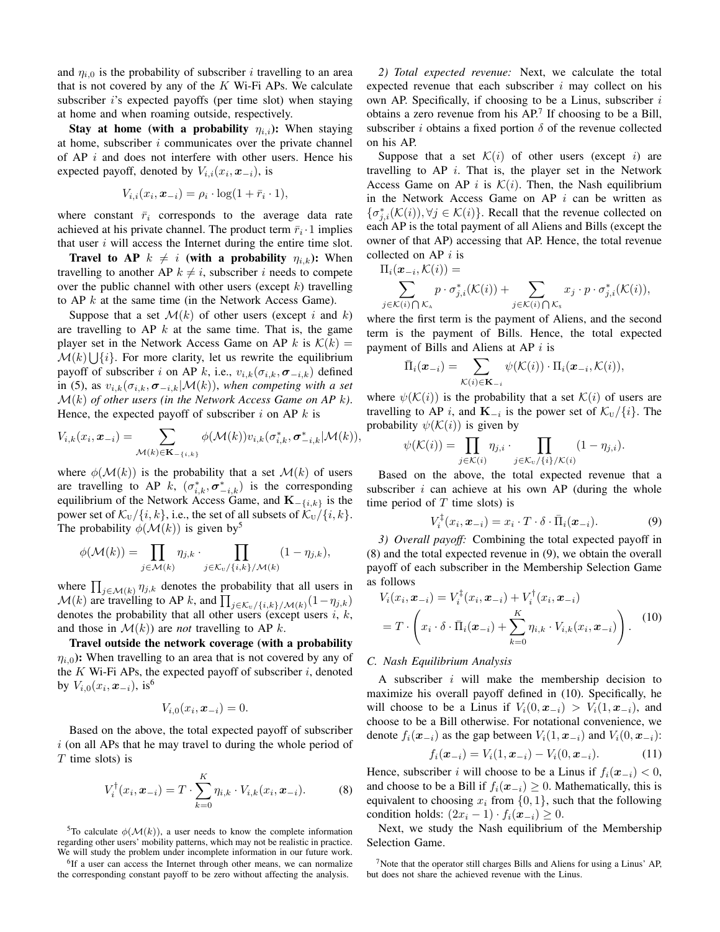and  $\eta_{i,0}$  is the probability of subscriber *i* travelling to an area that is not covered by any of the  $K$  Wi-Fi APs. We calculate subscriber *i*'s expected payoffs (per time slot) when staying at home and when roaming outside, respectively.

Stay at home (with a probability  $\eta_{i,i}$ ): When staying at home, subscriber  $i$  communicates over the private channel of  $AP$  *i* and does not interfere with other users. Hence his expected payoff, denoted by  $V_{i,i}(x_i, x_{-i})$ , is

$$
V_{i,i}(x_i, \boldsymbol{x}_{-i}) = \rho_i \cdot \log(1 + \bar{r}_i \cdot 1),
$$

where constant  $\bar{r}_i$  corresponds to the average data rate achieved at his private channel. The product term  $\bar{r}_i \cdot 1$  implies that user  $i$  will access the Internet during the entire time slot.

**Travel to AP**  $k \neq i$  (with a probability  $\eta_{i,k}$ ): When travelling to another AP  $k \neq i$ , subscriber i needs to compete over the public channel with other users (except  $k$ ) travelling to AP  $k$  at the same time (in the Network Access Game).

Suppose that a set  $\mathcal{M}(k)$  of other users (except i and k) are travelling to  $AP \; k$  at the same time. That is, the game player set in the Network Access Game on AP k is  $\mathcal{K}(k) =$  $\mathcal{M}(k) \bigcup \{i\}$ . For more clarity, let us rewrite the equilibrium payoff of subscriber i on AP k, i.e.,  $v_{i,k}(\sigma_{i,k}, \sigma_{-i,k})$  defined in (5), as  $v_{i,k}(\sigma_{i,k}, \sigma_{-i,k}|\mathcal{M}(k))$ , when competing with a set M(k) *of other users (in the Network Access Game on AP* k*)*. Hence, the expected payoff of subscriber  $i$  on AP  $k$  is

$$
V_{i,k}(x_i, \boldsymbol{x}_{-i}) = \sum_{\mathcal{M}(k) \in \mathbf{K}_{-\{i,k\}}} \phi(\mathcal{M}(k)) v_{i,k}(\sigma_{i,k}^*, \sigma_{-i,k}^* | \mathcal{M}(k)),
$$

where  $\phi(\mathcal{M}(k))$  is the probability that a set  $\mathcal{M}(k)$  of users are travelling to AP k,  $(\sigma_{i,k}^*, \sigma_{-i,k}^*)$  is the corresponding equilibrium of the Network Access Game, and  $\mathbf{K}_{-\{i,k\}}$  is the power set of  $\mathcal{K}_{U}/\{i,k\}$ , i.e., the set of all subsets of  $\mathcal{K}_{U}/\{i,k\}$ . The probability  $\phi(\mathcal{M}(k))$  is given by<sup>5</sup>

$$
\phi(\mathcal{M}(k)) = \prod_{j \in \mathcal{M}(k)} \eta_{j,k} \cdot \prod_{j \in \mathcal{K}_v/\{i,k\}/\mathcal{M}(k)} (1 - \eta_{j,k}),
$$

where  $\prod_{j \in \mathcal{M}(k)} \eta_{j,k}$  denotes the probability that all users in  $\mathcal{M}(k)$  are travelling to AP k, and  $\prod_{j \in \mathcal{K}_{U}/\{i,k\}/\mathcal{M}(k)}(1 - \eta_{j,k})$ denotes the probability that all other users (except users  $i$ ,  $k$ , and those in  $\mathcal{M}(k)$  are *not* travelling to AP k.

Travel outside the network coverage (with a probability  $\eta_{i,0}$ : When travelling to an area that is not covered by any of the  $K$  Wi-Fi APs, the expected payoff of subscriber  $i$ , denoted by  $V_{i,0}(x_i, \boldsymbol{x}_{-i}),$  is<sup>6</sup>

$$
V_{i,0}(x_i,\boldsymbol{x}_{-i})=0.
$$

Based on the above, the total expected payoff of subscriber  $i$  (on all APs that he may travel to during the whole period of  $T$  time slots) is

$$
V_i^{\dagger}(x_i, x_{-i}) = T \cdot \sum_{k=0}^{K} \eta_{i,k} \cdot V_{i,k}(x_i, x_{-i}).
$$
 (8)

<sup>5</sup>To calculate  $\phi(\mathcal{M}(k))$ , a user needs to know the complete information regarding other users' mobility patterns, which may not be realistic in practice. We will study the problem under incomplete information in our future work.

<sup>6</sup>If a user can access the Internet through other means, we can normalize the corresponding constant payoff to be zero without affecting the analysis.

*2) Total expected revenue:* Next, we calculate the total expected revenue that each subscriber  $i$  may collect on his own AP. Specifically, if choosing to be a Linus, subscriber  $i$ obtains a zero revenue from his  $AP<sup>7</sup>$  If choosing to be a Bill, subscriber *i* obtains a fixed portion  $\delta$  of the revenue collected on his AP.

Suppose that a set  $\mathcal{K}(i)$  of other users (except i) are travelling to  $AP$  *i*. That is, the player set in the Network Access Game on AP i is  $\mathcal{K}(i)$ . Then, the Nash equilibrium in the Network Access Game on  $AP$  i can be written as  $\{\sigma_{j,i}^*(\mathcal{K}(i)), \forall j \in \mathcal{K}(i)\}.$  Recall that the revenue collected on each AP is the total payment of all Aliens and Bills (except the owner of that AP) accessing that AP. Hence, the total revenue collected on AP  $i$  is

 $\Pi_i(\boldsymbol{x}_{-i},\mathcal{K}(i)) =$ 

$$
\sum_{j \in \mathcal{K}(i) \bigcap \mathcal{K}_{\mathbf{A}}} p \cdot \sigma_{j,i}^{*}(\mathcal{K}(i)) + \sum_{j \in \mathcal{K}(i) \bigcap \mathcal{K}_{\mathbf{S}}} x_{j} \cdot p \cdot \sigma_{j,i}^{*}(\mathcal{K}(i)),
$$

where the first term is the payment of Aliens, and the second term is the payment of Bills. Hence, the total expected payment of Bills and Aliens at AP  $i$  is

$$
\bar{\Pi}_i(\boldsymbol{x}_{-i}) = \sum_{\mathcal{K}(i) \in \mathbf{K}_{-i}} \psi(\mathcal{K}(i)) \cdot \Pi_i(\boldsymbol{x}_{-i}, \mathcal{K}(i)),
$$

where  $\psi(\mathcal{K}(i))$  is the probability that a set  $\mathcal{K}(i)$  of users are travelling to AP *i*, and  $\mathbf{K}_{-i}$  is the power set of  $\mathcal{K}_{\text{U}}/\{i\}$ . The probability  $\psi(\mathcal{K}(i))$  is given by

$$
\psi(\mathcal{K}(i)) = \prod_{j \in \mathcal{K}(i)} \eta_{j,i} \cdot \prod_{j \in \mathcal{K}_{\upsilon}/\{i\}/\mathcal{K}(i)} (1 - \eta_{j,i}).
$$

Based on the above, the total expected revenue that a subscriber  $i$  can achieve at his own AP (during the whole time period of  $T$  time slots) is

$$
V_i^{\dagger}(x_i, \boldsymbol{x}_{-i}) = x_i \cdot T \cdot \delta \cdot \bar{\Pi}_i(\boldsymbol{x}_{-i}). \tag{9}
$$

*3) Overall payoff:* Combining the total expected payoff in (8) and the total expected revenue in (9), we obtain the overall payoff of each subscriber in the Membership Selection Game as follows

$$
V_i(x_i, \boldsymbol{x}_{-i}) = V_i^{\dagger}(x_i, \boldsymbol{x}_{-i}) + V_i^{\dagger}(x_i, \boldsymbol{x}_{-i})
$$
  
=  $T \cdot \left(x_i \cdot \delta \cdot \bar{\Pi}_i(\boldsymbol{x}_{-i}) + \sum_{k=0}^K \eta_{i,k} \cdot V_{i,k}(x_i, \boldsymbol{x}_{-i})\right).$  (10)

## *C. Nash Equilibrium Analysis*

A subscriber  $i$  will make the membership decision to maximize his overall payoff defined in (10). Specifically, he will choose to be a Linus if  $V_i(0, x_{-i}) > V_i(1, x_{-i})$ , and choose to be a Bill otherwise. For notational convenience, we denote  $f_i(\mathbf{x}_{-i})$  as the gap between  $V_i(1, \mathbf{x}_{-i})$  and  $V_i(0, \mathbf{x}_{-i})$ :

$$
f_i(\boldsymbol{x}_{-i}) = V_i(1, \boldsymbol{x}_{-i}) - V_i(0, \boldsymbol{x}_{-i}). \tag{11}
$$

Hence, subscriber i will choose to be a Linus if  $f_i(\mathbf{x}_{-i}) < 0$ , and choose to be a Bill if  $f_i(\mathbf{x}_{-i}) \geq 0$ . Mathematically, this is equivalent to choosing  $x_i$  from  $\{0, 1\}$ , such that the following condition holds:  $(2x_i - 1) \cdot f_i(\mathbf{x}_{-i}) \geq 0$ .

Next, we study the Nash equilibrium of the Membership Selection Game.

 $7$ Note that the operator still charges Bills and Aliens for using a Linus' AP, but does not share the achieved revenue with the Linus.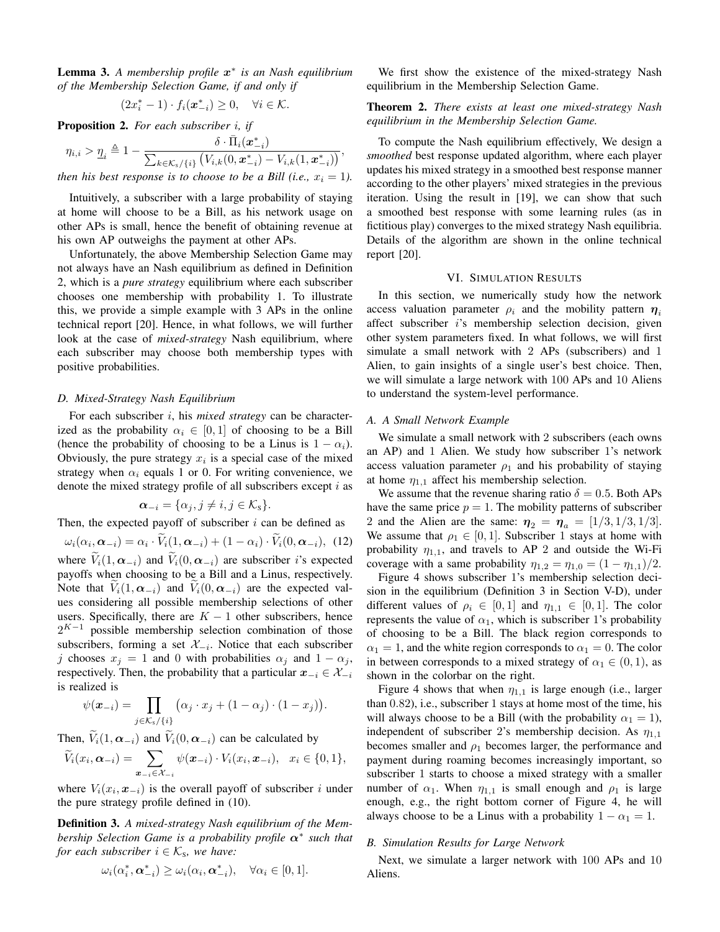Lemma 3. *A membership profile* x ∗ *is an Nash equilibrium of the Membership Selection Game, if and only if*

$$
(2x_i^*-1)\cdot f_i(\boldsymbol{x}_{-i}^*)\geq 0, \quad \forall i\in\mathcal{K}.
$$

Proposition 2. *For each subscriber* i*, if*

$$
\eta_{i,i} > \underline{\eta}_i \triangleq 1 - \frac{\delta \cdot \bar{\Pi}_i(\boldsymbol{x}_{-i}^*)}{\sum_{k \in \mathcal{K}_s / \{i\}} \left( V_{i,k}(0, \boldsymbol{x}_{-i}^*) - V_{i,k}(1, \boldsymbol{x}_{-i}^*) \right)},
$$

*then his best response is to choose to be a Bill (i.e.,*  $x_i = 1$ ).

Intuitively, a subscriber with a large probability of staying at home will choose to be a Bill, as his network usage on other APs is small, hence the benefit of obtaining revenue at his own AP outweighs the payment at other APs.

Unfortunately, the above Membership Selection Game may not always have an Nash equilibrium as defined in Definition 2, which is a *pure strategy* equilibrium where each subscriber chooses one membership with probability 1. To illustrate this, we provide a simple example with 3 APs in the online technical report [20]. Hence, in what follows, we will further look at the case of *mixed-strategy* Nash equilibrium, where each subscriber may choose both membership types with positive probabilities.

## *D. Mixed-Strategy Nash Equilibrium*

For each subscriber i, his *mixed strategy* can be characterized as the probability  $\alpha_i \in [0,1]$  of choosing to be a Bill (hence the probability of choosing to be a Linus is  $1 - \alpha_i$ ). Obviously, the pure strategy  $x_i$  is a special case of the mixed strategy when  $\alpha_i$  equals 1 or 0. For writing convenience, we denote the mixed strategy profile of all subscribers except  $i$  as

$$
\boldsymbol{\alpha}_{-i} = \{\alpha_j, j \neq i, j \in \mathcal{K}_s\}.
$$

Then, the expected payoff of subscriber  $i$  can be defined as

 $\omega_i(\alpha_i, \boldsymbol{\alpha}_{-i}) = \alpha_i \cdot V_i(1, \boldsymbol{\alpha}_{-i}) + (1 - \alpha_i) \cdot V_i(0, \boldsymbol{\alpha}_{-i}),$  (12) where  $\widetilde{V}_i(1,\alpha_{-i})$  and  $\widetilde{V}_i(0,\alpha_{-i})$  are subscriber *i*'s expected payoffs when choosing to be a Bill and a Linus, respectively. Note that  $V_i(1, \alpha_{-i})$  and  $V_i(0, \alpha_{-i})$  are the expected values considering all possible membership selections of other users. Specifically, there are  $K - 1$  other subscribers, hence  $2^{K-1}$  possible membership selection combination of those subscribers, forming a set  $\mathcal{X}_{-i}$ . Notice that each subscriber j chooses  $x_j = 1$  and 0 with probabilities  $\alpha_j$  and  $1 - \alpha_j$ , respectively. Then, the probability that a particular  $x_{-i} \in \mathcal{X}_{-i}$ is realized is

$$
\psi(\boldsymbol{x}_{-i}) = \prod_{j \in \mathcal{K}_s \setminus \{i\}} (\alpha_j \cdot x_j + (1 - \alpha_j) \cdot (1 - x_j)).
$$

Then,  $\widetilde{V}_i(1, \alpha_{-i})$  and  $\widetilde{V}_i(0, \alpha_{-i})$  can be calculated by

$$
\widetilde{V}_i(x_i,\boldsymbol{\alpha}_{-i})=\sum_{\boldsymbol{x}_{-i}\in\mathcal{X}_{-i}}\psi(\boldsymbol{x}_{-i})\cdot V_i(x_i,\boldsymbol{x}_{-i}),\ \ x_i\in\{0,1\},\
$$

where  $V_i(x_i, \mathbf{x}_{-i})$  is the overall payoff of subscriber i under the pure strategy profile defined in (10).

Definition 3. *A mixed-strategy Nash equilibrium of the Membership Selection Game is a probability profile* α<sup>∗</sup> *such that for each subscriber*  $i \in \mathcal{K}_s$ *, we have:* 

$$
\omega_i(\alpha_i^*, \mathbf{\alpha}_{-i}^*) \ge \omega_i(\alpha_i, \mathbf{\alpha}_{-i}^*), \quad \forall \alpha_i \in [0, 1].
$$

We first show the existence of the mixed-strategy Nash equilibrium in the Membership Selection Game.

## Theorem 2. *There exists at least one mixed-strategy Nash equilibrium in the Membership Selection Game.*

To compute the Nash equilibrium effectively, We design a *smoothed* best response updated algorithm, where each player updates his mixed strategy in a smoothed best response manner according to the other players' mixed strategies in the previous iteration. Using the result in [19], we can show that such a smoothed best response with some learning rules (as in fictitious play) converges to the mixed strategy Nash equilibria. Details of the algorithm are shown in the online technical report [20].

## VI. SIMULATION RESULTS

In this section, we numerically study how the network access valuation parameter  $\rho_i$  and the mobility pattern  $\eta_i$ affect subscriber i's membership selection decision, given other system parameters fixed. In what follows, we will first simulate a small network with 2 APs (subscribers) and 1 Alien, to gain insights of a single user's best choice. Then, we will simulate a large network with 100 APs and 10 Aliens to understand the system-level performance.

## *A. A Small Network Example*

We simulate a small network with 2 subscribers (each owns an AP) and 1 Alien. We study how subscriber 1's network access valuation parameter  $\rho_1$  and his probability of staying at home  $\eta_{1,1}$  affect his membership selection.

We assume that the revenue sharing ratio  $\delta = 0.5$ . Both APs have the same price  $p = 1$ . The mobility patterns of subscriber 2 and the Alien are the same:  $\eta_2 = \eta_a = [1/3, 1/3, 1/3]$ . We assume that  $\rho_1 \in [0, 1]$ . Subscriber 1 stays at home with probability  $\eta_{1,1}$ , and travels to AP 2 and outside the Wi-Fi coverage with a same probability  $\eta_{1,2} = \eta_{1,0} = (1 - \eta_{1,1})/2$ .

Figure 4 shows subscriber 1's membership selection decision in the equilibrium (Definition 3 in Section V-D), under different values of  $\rho_i \in [0,1]$  and  $\eta_{1,1} \in [0,1]$ . The color represents the value of  $\alpha_1$ , which is subscriber 1's probability of choosing to be a Bill. The black region corresponds to  $\alpha_1 = 1$ , and the white region corresponds to  $\alpha_1 = 0$ . The color in between corresponds to a mixed strategy of  $\alpha_1 \in (0,1)$ , as shown in the colorbar on the right.

Figure 4 shows that when  $\eta_{1,1}$  is large enough (i.e., larger than 0.82), i.e., subscriber 1 stays at home most of the time, his will always choose to be a Bill (with the probability  $\alpha_1 = 1$ ), independent of subscriber 2's membership decision. As  $\eta_{1,1}$ becomes smaller and  $\rho_1$  becomes larger, the performance and payment during roaming becomes increasingly important, so subscriber 1 starts to choose a mixed strategy with a smaller number of  $\alpha_1$ . When  $\eta_{1,1}$  is small enough and  $\rho_1$  is large enough, e.g., the right bottom corner of Figure 4, he will always choose to be a Linus with a probability  $1 - \alpha_1 = 1$ .

## *B. Simulation Results for Large Network*

Next, we simulate a larger network with 100 APs and 10 Aliens.